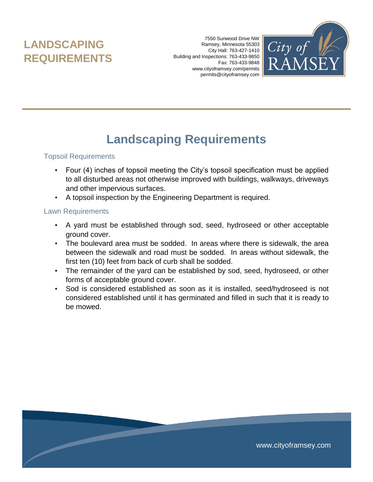# **LANDSCAPING REQUIREMENTS**

7550 Sunwood Drive NW Ramsey, Minnesota 55303 City Hall: 763-427-1410 Building and Inspections: 763-433-9850 Fax: 763-433-9848 www.cityoframsey.com/permits permits@cityoframsey.com



# **Landscaping Requirements**

#### Topsoil Requirements

- Four (4) inches of topsoil meeting the City's topsoil specification must be applied to all disturbed areas not otherwise improved with buildings, walkways, driveways and other impervious surfaces.
- A topsoil inspection by the Engineering Department is required.

#### Lawn Requirements

- A yard must be established through sod, seed, hydroseed or other acceptable ground cover.
- The boulevard area must be sodded. In areas where there is sidewalk, the area between the sidewalk and road must be sodded. In areas without sidewalk, the first ten (10) feet from back of curb shall be sodded.
- The remainder of the yard can be established by sod, seed, hydroseed, or other forms of acceptable ground cover.
- Sod is considered established as soon as it is installed, seed/hydroseed is not considered established until it has germinated and filled in such that it is ready to be mowed.

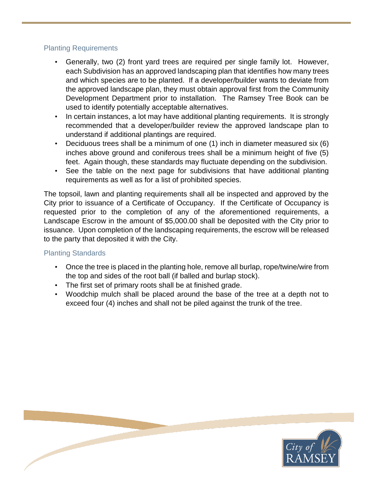## Planting Requirements

- Generally, two (2) front yard trees are required per single family lot. However, each Subdivision has an approved landscaping plan that identifies how many trees and which species are to be planted. If a developer/builder wants to deviate from the approved landscape plan, they must obtain approval first from the Community Development Department prior to installation. The Ramsey Tree Book can be used to identify potentially acceptable alternatives.
- In certain instances, a lot may have additional planting requirements. It is strongly recommended that a developer/builder review the approved landscape plan to understand if additional plantings are required.
- Deciduous trees shall be a minimum of one (1) inch in diameter measured six (6) inches above ground and coniferous trees shall be a minimum height of five (5) feet. Again though, these standards may fluctuate depending on the subdivision.
- See the table on the next page for subdivisions that have additional planting requirements as well as for a list of prohibited species.

The topsoil, lawn and planting requirements shall all be inspected and approved by the City prior to issuance of a Certificate of Occupancy. If the Certificate of Occupancy is requested prior to the completion of any of the aforementioned requirements, a Landscape Escrow in the amount of \$5,000.00 shall be deposited with the City prior to issuance. Upon completion of the landscaping requirements, the escrow will be released to the party that deposited it with the City.

## Planting Standards

- Once the tree is placed in the planting hole, remove all burlap, rope/twine/wire from the top and sides of the root ball (if balled and burlap stock).
- The first set of primary roots shall be at finished grade.
- Woodchip mulch shall be placed around the base of the tree at a depth not to exceed four (4) inches and shall not be piled against the trunk of the tree.